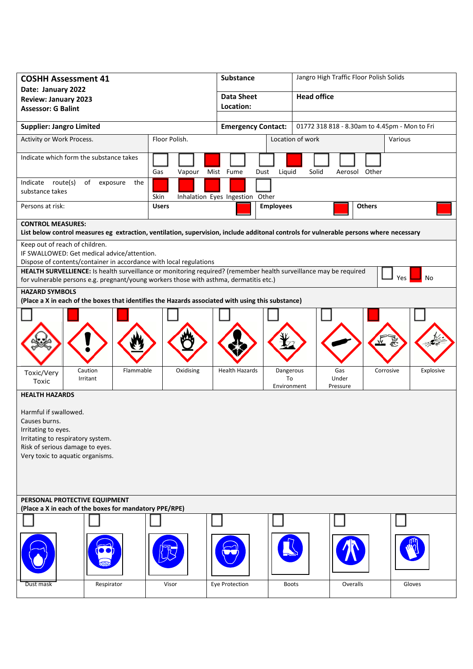| <b>COSHH Assessment 41</b>                                                                                                                                                                                  |               | <b>Substance</b>                | Jangro High Traffic Floor Polish Solids                                    |                    |           |  |
|-------------------------------------------------------------------------------------------------------------------------------------------------------------------------------------------------------------|---------------|---------------------------------|----------------------------------------------------------------------------|--------------------|-----------|--|
| Date: January 2022<br><b>Review: January 2023</b>                                                                                                                                                           |               | <b>Data Sheet</b>               | <b>Head office</b>                                                         |                    |           |  |
| <b>Assessor: G Balint</b>                                                                                                                                                                                   |               | Location:                       |                                                                            |                    |           |  |
| <b>Supplier: Jangro Limited</b>                                                                                                                                                                             |               |                                 | 01772 318 818 - 8.30am to 4.45pm - Mon to Fri<br><b>Emergency Contact:</b> |                    |           |  |
| Floor Polish.<br>Activity or Work Process.                                                                                                                                                                  |               |                                 | Location of work<br>Various                                                |                    |           |  |
| Indicate which form the substance takes                                                                                                                                                                     |               |                                 |                                                                            |                    |           |  |
|                                                                                                                                                                                                             | Gas<br>Vapour | Mist Fume<br>Dust               | Liquid<br>Solid                                                            | Aerosol Other      |           |  |
| Indicate route(s)<br>of exposure<br>the<br>substance takes                                                                                                                                                  | Skin          | Inhalation Eyes Ingestion Other |                                                                            |                    |           |  |
| Persons at risk:                                                                                                                                                                                            | <b>Users</b>  | <b>Employees</b>                |                                                                            | <b>Others</b>      |           |  |
| <b>CONTROL MEASURES:</b><br>List below control measures eg extraction, ventilation, supervision, include additonal controls for vulnerable persons where necessary                                          |               |                                 |                                                                            |                    |           |  |
| Keep out of reach of children.<br>IF SWALLOWED: Get medical advice/attention.                                                                                                                               |               |                                 |                                                                            |                    |           |  |
| Dispose of contents/container in accordance with local regulations                                                                                                                                          |               |                                 |                                                                            |                    |           |  |
| HEALTH SURVELLIENCE: Is health surveillance or monitoring required? (remember health surveillance may be required<br>for vulnerable persons e.g. pregnant/young workers those with asthma, dermatitis etc.) |               |                                 |                                                                            | Yes                | No        |  |
| <b>HAZARD SYMBOLS</b>                                                                                                                                                                                       |               |                                 |                                                                            |                    |           |  |
| (Place a X in each of the boxes that identifies the Hazards associated with using this substance)                                                                                                           |               |                                 |                                                                            |                    |           |  |
|                                                                                                                                                                                                             |               |                                 |                                                                            |                    |           |  |
|                                                                                                                                                                                                             |               |                                 |                                                                            |                    |           |  |
|                                                                                                                                                                                                             |               |                                 |                                                                            |                    |           |  |
|                                                                                                                                                                                                             |               |                                 |                                                                            |                    |           |  |
| Caution<br>Flammable<br>Toxic/Very<br>Irritant<br>Toxic                                                                                                                                                     | Oxidising     | <b>Health Hazards</b>           | Dangerous<br>Gas<br>Under<br>To<br>Environment<br>Pressure                 | Corrosive          | Explosive |  |
| <b>HEALTH HAZARDS</b>                                                                                                                                                                                       |               |                                 |                                                                            |                    |           |  |
| Harmful if swallowed.                                                                                                                                                                                       |               |                                 |                                                                            |                    |           |  |
| Causes burns.                                                                                                                                                                                               |               |                                 |                                                                            |                    |           |  |
| Irritating to eyes.                                                                                                                                                                                         |               |                                 |                                                                            |                    |           |  |
| Irritating to respiratory system.<br>Risk of serious damage to eyes.                                                                                                                                        |               |                                 |                                                                            |                    |           |  |
| Very toxic to aquatic organisms.                                                                                                                                                                            |               |                                 |                                                                            |                    |           |  |
|                                                                                                                                                                                                             |               |                                 |                                                                            |                    |           |  |
|                                                                                                                                                                                                             |               |                                 |                                                                            |                    |           |  |
| PERSONAL PROTECTIVE EQUIPMENT                                                                                                                                                                               |               |                                 |                                                                            |                    |           |  |
| (Place a X in each of the boxes for mandatory PPE/RPE)                                                                                                                                                      |               |                                 |                                                                            |                    |           |  |
|                                                                                                                                                                                                             |               |                                 |                                                                            |                    |           |  |
|                                                                                                                                                                                                             |               |                                 |                                                                            |                    |           |  |
|                                                                                                                                                                                                             |               |                                 |                                                                            |                    |           |  |
| Dust mask<br>Respirator                                                                                                                                                                                     | Visor         | Eye Protection                  | <b>Boots</b>                                                               | Overalls<br>Gloves |           |  |